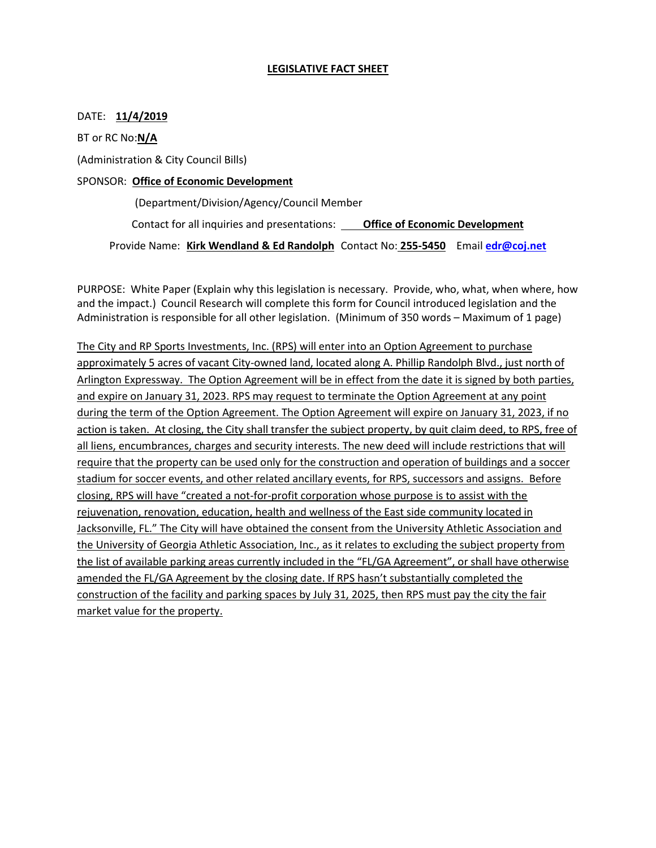### **LEGISLATIVE FACT SHEET**

### DATE: **11/4/2019**

BT or RC No:**N/A**

(Administration & City Council Bills)

### SPONSOR: **Office of Economic Development**

(Department/Division/Agency/Council Member

Contact for all inquiries and presentations: **Office of Economic Development** 

Provide Name: **Kirk Wendland & Ed Randolph** Contact No: **255-5450** Email **[edr@coj.net](mailto:edr@coj.net)**

PURPOSE: White Paper (Explain why this legislation is necessary. Provide, who, what, when where, how and the impact.) Council Research will complete this form for Council introduced legislation and the Administration is responsible for all other legislation. (Minimum of 350 words – Maximum of 1 page)

The City and RP Sports Investments, Inc. (RPS) will enter into an Option Agreement to purchase approximately 5 acres of vacant City-owned land, located along A. Phillip Randolph Blvd., just north of Arlington Expressway. The Option Agreement will be in effect from the date it is signed by both parties, and expire on January 31, 2023. RPS may request to terminate the Option Agreement at any point during the term of the Option Agreement. The Option Agreement will expire on January 31, 2023, if no action is taken. At closing, the City shall transfer the subject property, by quit claim deed, to RPS, free of all liens, encumbrances, charges and security interests. The new deed will include restrictions that will require that the property can be used only for the construction and operation of buildings and a soccer stadium for soccer events, and other related ancillary events, for RPS, successors and assigns. Before closing, RPS will have "created a not-for-profit corporation whose purpose is to assist with the rejuvenation, renovation, education, health and wellness of the East side community located in Jacksonville, FL." The City will have obtained the consent from the University Athletic Association and the University of Georgia Athletic Association, Inc., as it relates to excluding the subject property from the list of available parking areas currently included in the "FL/GA Agreement", or shall have otherwise amended the FL/GA Agreement by the closing date. If RPS hasn't substantially completed the construction of the facility and parking spaces by July 31, 2025, then RPS must pay the city the fair market value for the property.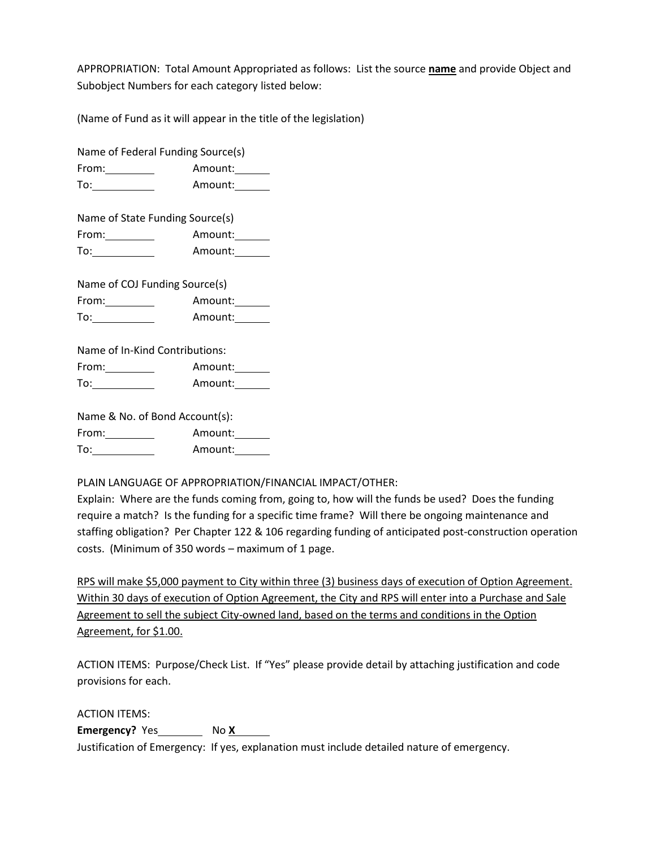APPROPRIATION: Total Amount Appropriated as follows: List the source **name** and provide Object and Subobject Numbers for each category listed below:

(Name of Fund as it will appear in the title of the legislation)

Name of Federal Funding Source(s) From: Amount: To: Amount: Name of State Funding Source(s) From: Amount: To: Amount: Name of COJ Funding Source(s) From: Amount: To: Amount: Name of In-Kind Contributions: From: Amount: To: Amount: Name & No. of Bond Account(s):

From: Amount: Amount: To: Amount: Amount: Amount: Amount: Amount: Amount: Amount: Amount: Amount: Amount: Amount: Amount: Amount: Amount: Amount: Amount: Amount: Amount: Amount: Amount: Amount: Amount: Amount: Amount: Amou To: Amount: Amount: Amount: Amount: Amount: Amount: Amount: Amount: Amount: Amount: Amount: Amount: Amount: Amount: Amount: Amount: Amount: Amount: Amount: Amount: Amount: Amount: Amount: Amount: Amount: Amount: Amount: Am

PLAIN LANGUAGE OF APPROPRIATION/FINANCIAL IMPACT/OTHER:

Explain: Where are the funds coming from, going to, how will the funds be used? Does the funding require a match? Is the funding for a specific time frame? Will there be ongoing maintenance and staffing obligation? Per Chapter 122 & 106 regarding funding of anticipated post-construction operation costs. (Minimum of 350 words – maximum of 1 page.

RPS will make \$5,000 payment to City within three (3) business days of execution of Option Agreement. Within 30 days of execution of Option Agreement, the City and RPS will enter into a Purchase and Sale Agreement to sell the subject City-owned land, based on the terms and conditions in the Option Agreement, for \$1.00.

ACTION ITEMS: Purpose/Check List. If "Yes" please provide detail by attaching justification and code provisions for each.

ACTION ITEMS:

**Emergency?** Yes No X

Justification of Emergency: If yes, explanation must include detailed nature of emergency.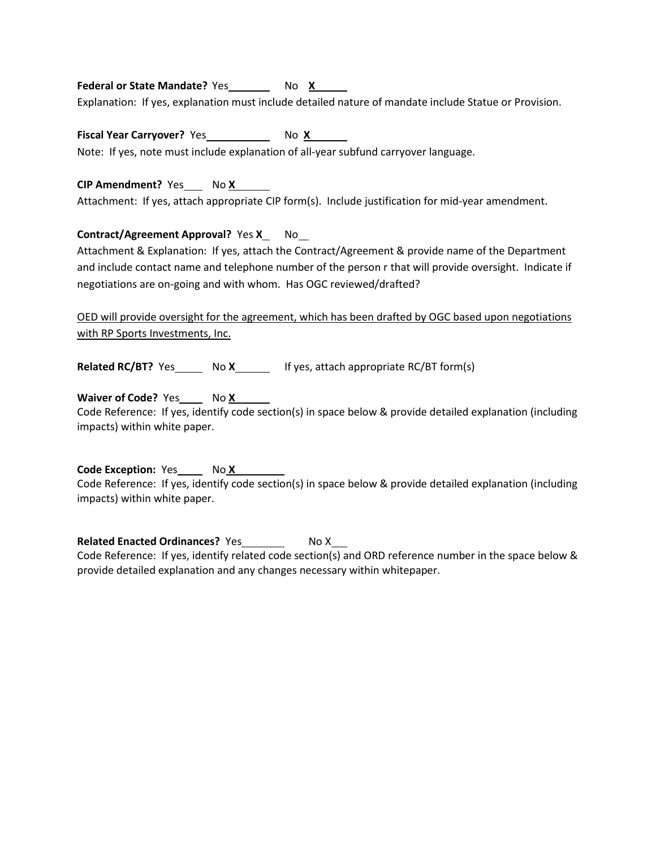## **Federal or State Mandate?** Yes No X

Explanation: If yes, explanation must include detailed nature of mandate include Statue or Provision.

**Fiscal Year Carryover?** Yes No X No X

Note: If yes, note must include explanation of all-year subfund carryover language.

## **CIP Amendment?** Yes No X

Attachment: If yes, attach appropriate CIP form(s). Include justification for mid-year amendment.

# **Contract/Agreement Approval?** Yes X\_ No\_

Attachment & Explanation: If yes, attach the Contract/Agreement & provide name of the Department and include contact name and telephone number of the person r that will provide oversight. Indicate if negotiations are on-going and with whom. Has OGC reviewed/drafted?

OED will provide oversight for the agreement, which has been drafted by OGC based upon negotiations with RP Sports Investments, Inc.

**Related RC/BT?** Yes No **X** If yes, attach appropriate RC/BT form(s)

**Waiver of Code?** Yes No X

Code Reference: If yes, identify code section(s) in space below & provide detailed explanation (including impacts) within white paper.

**Code Exception:** Yes No X Code Reference: If yes, identify code section(s) in space below & provide detailed explanation (including impacts) within white paper.

**Related Enacted Ordinances?** Yes \_\_\_\_\_\_\_\_\_ No X\_\_\_ Code Reference: If yes, identify related code section(s) and ORD reference number in the space below & provide detailed explanation and any changes necessary within whitepaper.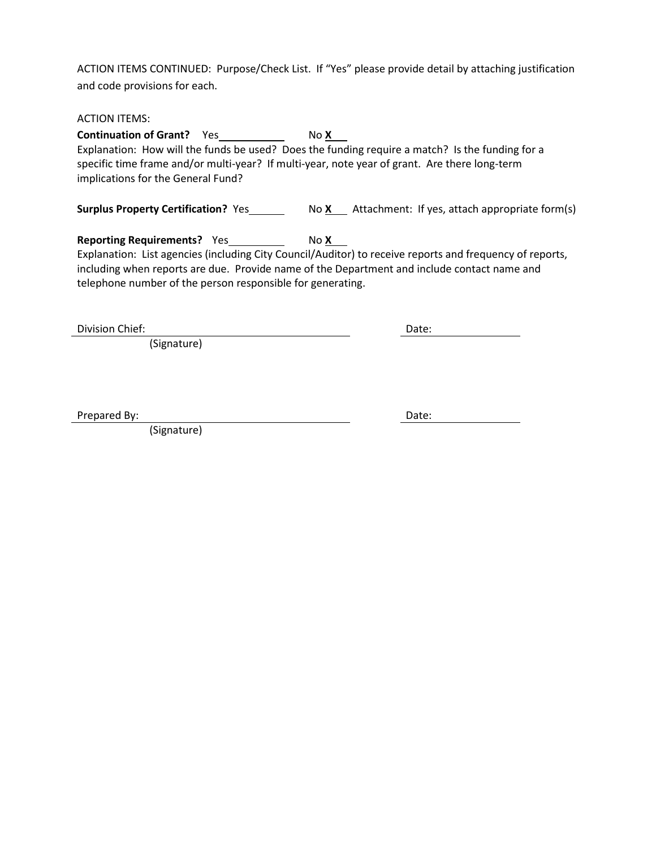ACTION ITEMS CONTINUED: Purpose/Check List. If "Yes" please provide detail by attaching justification and code provisions for each.

ACTION ITEMS:

**Continuation of Grant?** Yes No X Explanation: How will the funds be used? Does the funding require a match? Is the funding for a specific time frame and/or multi-year? If multi-year, note year of grant. Are there long-term implications for the General Fund?

**Surplus Property Certification?** Yes No **X** Attachment: If yes, attach appropriate form(s)

**Reporting Requirements?** Yes No X Explanation: List agencies (including City Council/Auditor) to receive reports and frequency of reports, including when reports are due. Provide name of the Department and include contact name and telephone number of the person responsible for generating.

Division Chief: X Date: X Date: X Date: X Date: X Date: X Date: X Date: X Date: X Date: X Date: X Date: X Date: X Date: X Date: X Date: X Date: X Date: X Date: X Date: X Date: X Date: X Date: X Date: X Date: X Date: X Date

(Signature)

Prepared By:  $\qquad \qquad$  Date:

(Signature) x